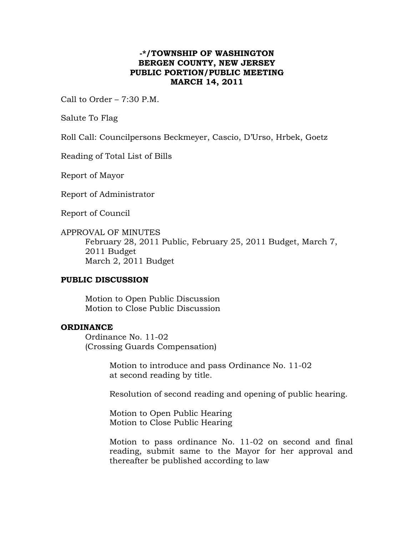## **-\*/TOWNSHIP OF WASHINGTON BERGEN COUNTY, NEW JERSEY PUBLIC PORTION/PUBLIC MEETING MARCH 14, 2011**

Call to Order – 7:30 P.M.

Salute To Flag

Roll Call: Councilpersons Beckmeyer, Cascio, D'Urso, Hrbek, Goetz

Reading of Total List of Bills

Report of Mayor

Report of Administrator

Report of Council

APPROVAL OF MINUTES February 28, 2011 Public, February 25, 2011 Budget, March 7, 2011 Budget March 2, 2011 Budget

## **PUBLIC DISCUSSION**

Motion to Open Public Discussion Motion to Close Public Discussion

## **ORDINANCE**

Ordinance No. 11-02 (Crossing Guards Compensation)

> Motion to introduce and pass Ordinance No. 11-02 at second reading by title.

Resolution of second reading and opening of public hearing.

 Motion to Open Public Hearing Motion to Close Public Hearing

Motion to pass ordinance No. 11-02 on second and final reading, submit same to the Mayor for her approval and thereafter be published according to law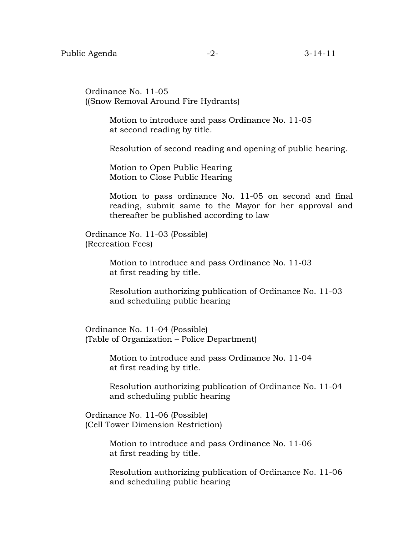Ordinance No. 11-05 ((Snow Removal Around Fire Hydrants)

> Motion to introduce and pass Ordinance No. 11-05 at second reading by title.

Resolution of second reading and opening of public hearing.

 Motion to Open Public Hearing Motion to Close Public Hearing

Motion to pass ordinance No. 11-05 on second and final reading, submit same to the Mayor for her approval and thereafter be published according to law

 Ordinance No. 11-03 (Possible) (Recreation Fees)

> Motion to introduce and pass Ordinance No. 11-03 at first reading by title.

 Resolution authorizing publication of Ordinance No. 11-03 and scheduling public hearing

 Ordinance No. 11-04 (Possible) (Table of Organization – Police Department)

> Motion to introduce and pass Ordinance No. 11-04 at first reading by title.

 Resolution authorizing publication of Ordinance No. 11-04 and scheduling public hearing

 Ordinance No. 11-06 (Possible) (Cell Tower Dimension Restriction)

> Motion to introduce and pass Ordinance No. 11-06 at first reading by title.

 Resolution authorizing publication of Ordinance No. 11-06 and scheduling public hearing